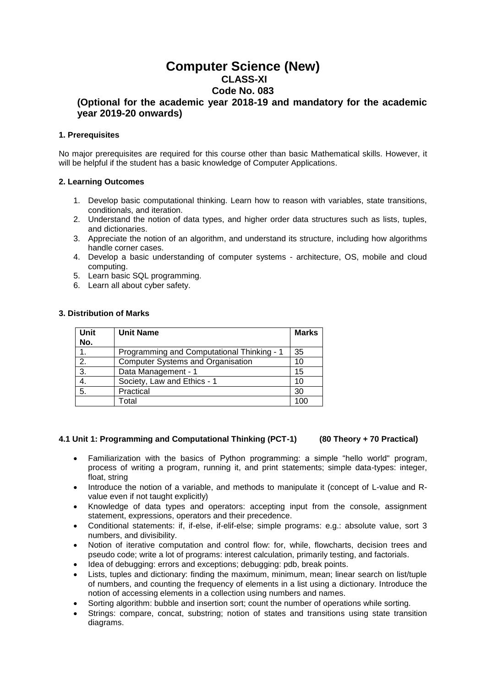# **Computer Science (New) CLASS-XI Code No. 083**

# **(Optional for the academic year 2018-19 and mandatory for the academic year 2019-20 onwards)**

# **1. Prerequisites**

No major prerequisites are required for this course other than basic Mathematical skills. However, it will be helpful if the student has a basic knowledge of Computer Applications.

# **2. Learning Outcomes**

- 1. Develop basic computational thinking. Learn how to reason with variables, state transitions, conditionals, and iteration.
- 2. Understand the notion of data types, and higher order data structures such as lists, tuples, and dictionaries.
- 3. Appreciate the notion of an algorithm, and understand its structure, including how algorithms handle corner cases.
- 4. Develop a basic understanding of computer systems architecture, OS, mobile and cloud computing.
- 5. Learn basic SQL programming.
- 6. Learn all about cyber safety.

# **3. Distribution of Marks**

| Unit<br>No. | <b>Unit Name</b>                           | <b>Marks</b> |
|-------------|--------------------------------------------|--------------|
| 1.          | Programming and Computational Thinking - 1 | 35           |
| 2.          | <b>Computer Systems and Organisation</b>   | 10           |
| 3.          | Data Management - 1                        | 15           |
| 4.          | Society, Law and Ethics - 1                | 10           |
| 5.          | Practical                                  | 30           |
|             | Total                                      | 100          |

## **4.1 Unit 1: Programming and Computational Thinking (PCT-1) (80 Theory + 70 Practical)**

- Familiarization with the basics of Python programming: a simple "hello world" program, process of writing a program, running it, and print statements; simple data-types: integer, float, string
- Introduce the notion of a variable, and methods to manipulate it (concept of L-value and Rvalue even if not taught explicitly)
- Knowledge of data types and operators: accepting input from the console, assignment statement, expressions, operators and their precedence.
- Conditional statements: if, if-else, if-elif-else; simple programs: e.g.: absolute value, sort 3 numbers, and divisibility.
- Notion of iterative computation and control flow: for, while, flowcharts, decision trees and pseudo code; write a lot of programs: interest calculation, primarily testing, and factorials.
- Idea of debugging: errors and exceptions; debugging: pdb, break points.
- Lists, tuples and dictionary: finding the maximum, minimum, mean; linear search on list/tuple of numbers, and counting the frequency of elements in a list using a dictionary. Introduce the notion of accessing elements in a collection using numbers and names.
- Sorting algorithm: bubble and insertion sort; count the number of operations while sorting.
- Strings: compare, concat, substring; notion of states and transitions using state transition diagrams.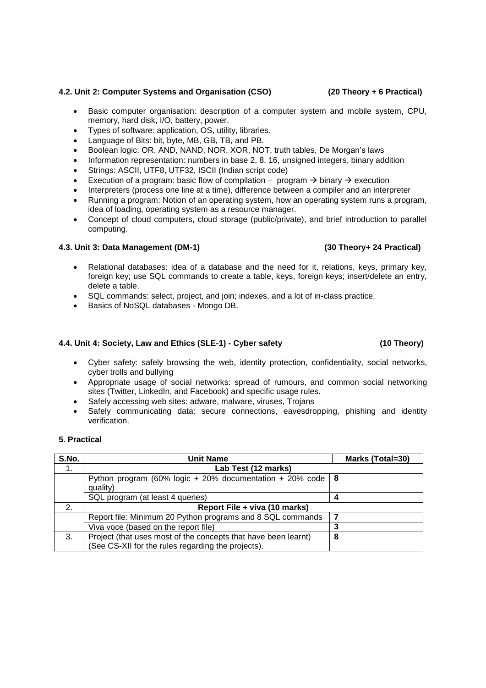# **4.2. Unit 2: Computer Systems and Organisation (CSO) (20 Theory + 6 Practical)**

- Basic computer organisation: description of a computer system and mobile system, CPU, memory, hard disk, I/O, battery, power.
- Types of software: application, OS, utility, libraries.
- Language of Bits: bit, byte, MB, GB, TB, and PB.
- Boolean logic: OR, AND, NAND, NOR, XOR, NOT, truth tables, De Morgan's laws
- Information representation: numbers in base 2, 8, 16, unsigned integers, binary addition
- Strings: ASCII, UTF8, UTF32, ISCII (Indian script code)
- Execution of a program: basic flow of compilation program  $\rightarrow$  binary  $\rightarrow$  execution
- Interpreters (process one line at a time), difference between a compiler and an interpreter
- Running a program: Notion of an operating system, how an operating system runs a program, idea of loading, operating system as a resource manager.
- Concept of cloud computers, cloud storage (public/private), and brief introduction to parallel computing.

# **4.3. Unit 3: Data Management (DM-1) (30 Theory+ 24 Practical)**

- Relational databases: idea of a database and the need for it, relations, keys, primary key, foreign key; use SQL commands to create a table, keys, foreign keys; insert/delete an entry, delete a table.
- SQL commands: select, project, and join; indexes, and a lot of in-class practice.
- Basics of NoSQL databases Mongo DB.

# **4.4. Unit 4: Society, Law and Ethics (SLE-1) - Cyber safety (10 Theory)**

- Cyber safety: safely browsing the web, identity protection, confidentiality, social networks, cyber trolls and bullying
- Appropriate usage of social networks: spread of rumours, and common social networking sites (Twitter, LinkedIn, and Facebook) and specific usage rules.
- Safely accessing web sites: adware, malware, viruses, Trojans
- Safely communicating data: secure connections, eavesdropping, phishing and identity verification.

## **5. Practical**

| S.No. | <b>Unit Name</b>                                                                                                     | Marks (Total=30) |  |
|-------|----------------------------------------------------------------------------------------------------------------------|------------------|--|
| 1.    | Lab Test (12 marks)                                                                                                  |                  |  |
|       | Python program (60% logic + 20% documentation + 20% code   8<br>quality)                                             |                  |  |
|       | SQL program (at least 4 queries)                                                                                     |                  |  |
| 2.    | Report File + viva (10 marks)                                                                                        |                  |  |
|       | Report file: Minimum 20 Python programs and 8 SQL commands                                                           |                  |  |
|       | Viva voce (based on the report file)                                                                                 |                  |  |
| 3.    | Project (that uses most of the concepts that have been learnt)<br>(See CS-XII for the rules regarding the projects). | 8                |  |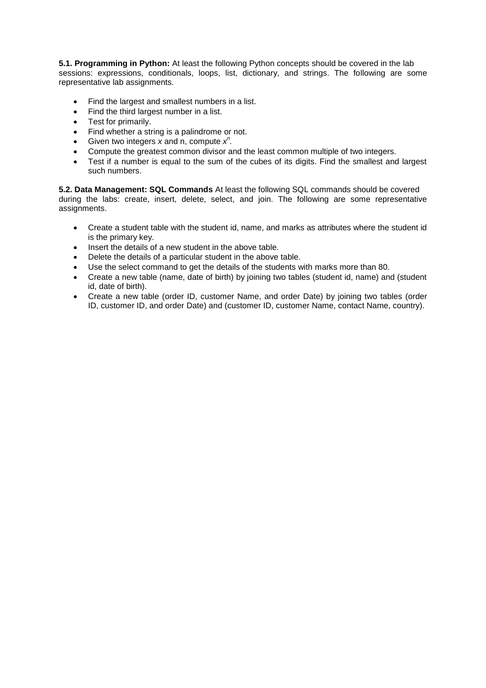**5.1. Programming in Python:** At least the following Python concepts should be covered in the lab sessions: expressions, conditionals, loops, list, dictionary, and strings. The following are some representative lab assignments.

- Find the largest and smallest numbers in a list.
- Find the third largest number in a list.
- Test for primarily.
- Find whether a string is a palindrome or not.
- Given two integers  $x$  and n, compute  $x^n$ .
- Compute the greatest common divisor and the least common multiple of two integers.
- Test if a number is equal to the sum of the cubes of its digits. Find the smallest and largest such numbers.

**5.2. Data Management: SQL Commands** At least the following SQL commands should be covered during the labs: create, insert, delete, select, and join. The following are some representative assignments.

- Create a student table with the student id, name, and marks as attributes where the student id is the primary key.
- Insert the details of a new student in the above table.
- Delete the details of a particular student in the above table.
- Use the select command to get the details of the students with marks more than 80.
- Create a new table (name, date of birth) by joining two tables (student id, name) and (student id, date of birth).
- Create a new table (order ID, customer Name, and order Date) by joining two tables (order ID, customer ID, and order Date) and (customer ID, customer Name, contact Name, country).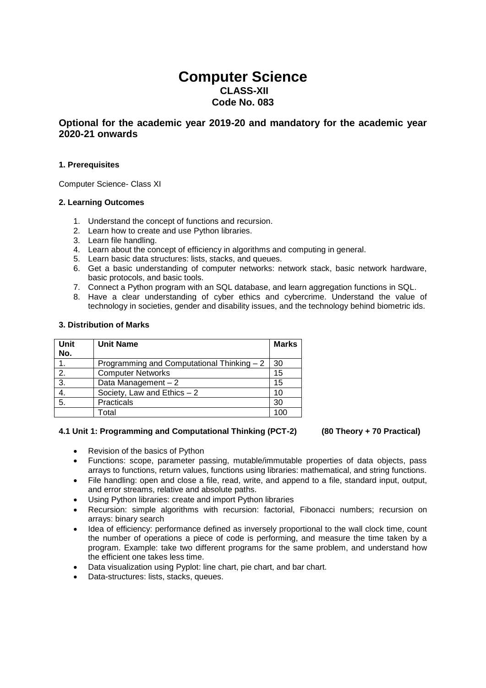# **Computer Science CLASS-XII Code No. 083**

# **Optional for the academic year 2019-20 and mandatory for the academic year 2020-21 onwards**

# **1. Prerequisites**

Computer Science- Class XI

# **2. Learning Outcomes**

- 1. Understand the concept of functions and recursion.
- 2. Learn how to create and use Python libraries.
- 3. Learn file handling.
- 4. Learn about the concept of efficiency in algorithms and computing in general.
- 5. Learn basic data structures: lists, stacks, and queues.
- 6. Get a basic understanding of computer networks: network stack, basic network hardware, basic protocols, and basic tools.
- 7. Connect a Python program with an SQL database, and learn aggregation functions in SQL.
- 8. Have a clear understanding of cyber ethics and cybercrime. Understand the value of technology in societies, gender and disability issues, and the technology behind biometric ids.

## **3. Distribution of Marks**

| Unit<br>No.      | <b>Unit Name</b>                           | <b>Marks</b> |
|------------------|--------------------------------------------|--------------|
| 1.               | Programming and Computational Thinking - 2 | 30           |
| 2.               | <b>Computer Networks</b>                   | 15           |
| $\overline{3}$ . | Data Management $-2$                       | 15           |
| 4.               | Society, Law and Ethics $-2$               | 10           |
| $\overline{5}$ . | Practicals                                 | 30           |
|                  | Total                                      | 100          |

## **4.1 Unit 1: Programming and Computational Thinking (PCT-2) (80 Theory + 70 Practical)**

- Revision of the basics of Python
- Functions: scope, parameter passing, mutable/immutable properties of data objects, pass arrays to functions, return values, functions using libraries: mathematical, and string functions.
- File handling: open and close a file, read, write, and append to a file, standard input, output, and error streams, relative and absolute paths.
- Using Python libraries: create and import Python libraries
- Recursion: simple algorithms with recursion: factorial, Fibonacci numbers; recursion on arrays: binary search
- Idea of efficiency: performance defined as inversely proportional to the wall clock time, count the number of operations a piece of code is performing, and measure the time taken by a program. Example: take two different programs for the same problem, and understand how the efficient one takes less time.
- Data visualization using Pyplot: line chart, pie chart, and bar chart.
- Data-structures: lists, stacks, queues.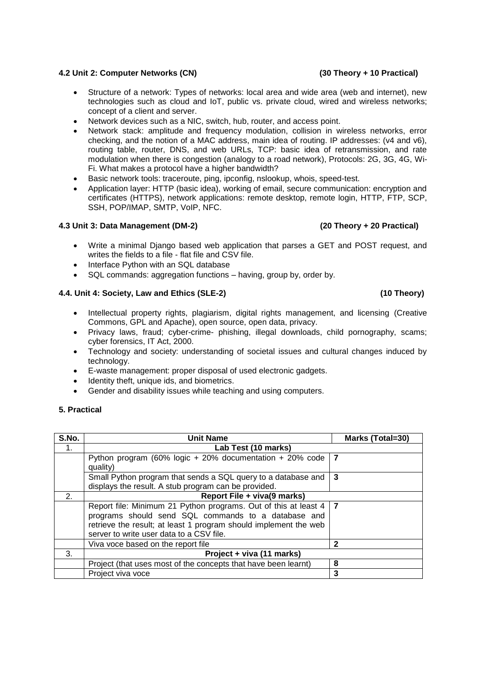# **4.2 Unit 2: Computer Networks (CN) (30 Theory + 10 Practical)**

- Structure of a network: Types of networks: local area and wide area (web and internet), new technologies such as cloud and IoT, public vs. private cloud, wired and wireless networks; concept of a client and server.
- Network devices such as a NIC, switch, hub, router, and access point.
- Network stack: amplitude and frequency modulation, collision in wireless networks, error checking, and the notion of a MAC address, main idea of routing. IP addresses: (v4 and v6), routing table, router, DNS, and web URLs, TCP: basic idea of retransmission, and rate modulation when there is congestion (analogy to a road network), Protocols: 2G, 3G, 4G, Wi-Fi. What makes a protocol have a higher bandwidth?
- Basic network tools: traceroute, ping, ipconfig, nslookup, whois, speed-test.
- Application layer: HTTP (basic idea), working of email, secure communication: encryption and certificates (HTTPS), network applications: remote desktop, remote login, HTTP, FTP, SCP, SSH, POP/IMAP, SMTP, VoIP, NFC.

# **4.3 Unit 3: Data Management (DM-2) (20 Theory + 20 Practical)**

- Write a minimal Django based web application that parses a GET and POST request, and writes the fields to a file - flat file and CSV file.
- Interface Python with an SQL database
- SQL commands: aggregation functions having, group by, order by.

# **4.4. Unit 4: Society, Law and Ethics (SLE-2) (10 Theory)**

- Intellectual property rights, plagiarism, digital rights management, and licensing (Creative Commons, GPL and Apache), open source, open data, privacy.
- Privacy laws, fraud; cyber-crime- phishing, illegal downloads, child pornography, scams; cyber forensics, IT Act, 2000.
- Technology and society: understanding of societal issues and cultural changes induced by technology.
- E-waste management: proper disposal of used electronic gadgets.
- Identity theft, unique ids, and biometrics.
- Gender and disability issues while teaching and using computers.

# **5. Practical**

| S.No. | <b>Unit Name</b>                                                         | Marks (Total=30) |  |
|-------|--------------------------------------------------------------------------|------------------|--|
| 1.    | Lab Test (10 marks)                                                      |                  |  |
|       | Python program (60% logic + 20% documentation + 20% code                 | 7                |  |
|       | quality)                                                                 |                  |  |
|       | Small Python program that sends a SQL query to a database and            | 3                |  |
|       | displays the result. A stub program can be provided.                     |                  |  |
| 2.    | Report File + viva(9 marks)                                              |                  |  |
|       | Report file: Minimum 21 Python programs. Out of this at least $4 \mid 7$ |                  |  |
|       | programs should send SQL commands to a database and                      |                  |  |
|       | retrieve the result; at least 1 program should implement the web         |                  |  |
|       | server to write user data to a CSV file.                                 |                  |  |
|       | Viva voce based on the report file                                       | 2                |  |
| 3.    | Project + viva (11 marks)                                                |                  |  |
|       | Project (that uses most of the concepts that have been learnt)           | 8                |  |
|       | Project viva voce                                                        | 3                |  |